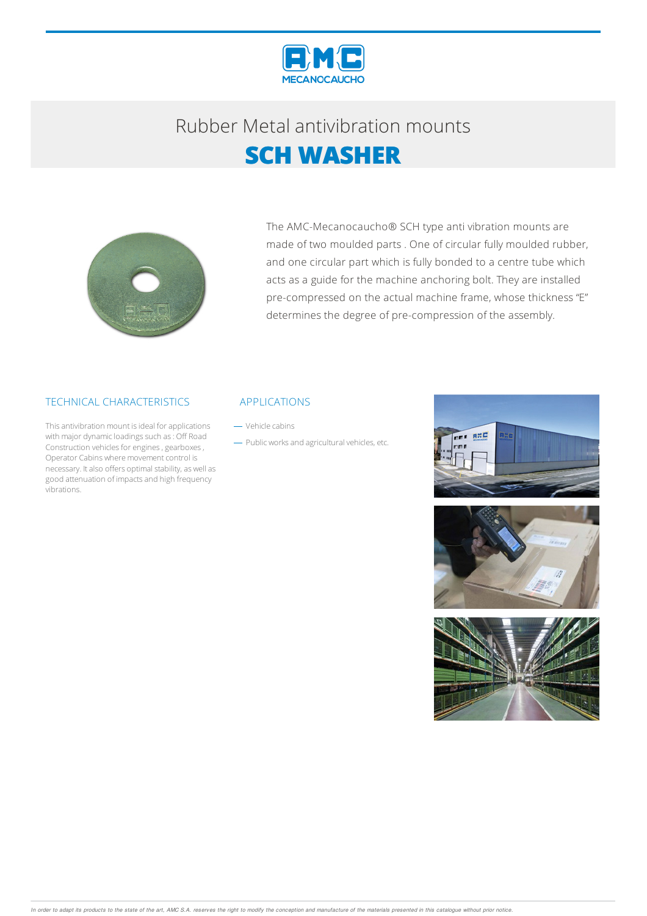

## Rubber Metalantivibration mounts **SCH WASHER**



The AMC-Mecanocaucho® SCH type anti vibration mounts are made of two moulded parts . One of circular fully moulded rubber, and one circular part which is fully bonded to a centre tube which acts as a guide for the machine anchoring bolt. They are installed pre-compressed on the actual machine frame, whose thickness "E" determines the degree of pre-compression of the assembly.

### TECHNICAL CHARACTERISTICS

This antivibration mount is ideal for applications with major dynamic loadings such as: Off Road Construction vehicles for engines, gearboxes, Operator Cabins where movement control is necessary. It also offers optimal stability, as well as good attenuation of impacts and high frequency vibrations.

#### APPLICATIONS

- Vehicle cabins

- Public works and agricultural vehicles, etc.





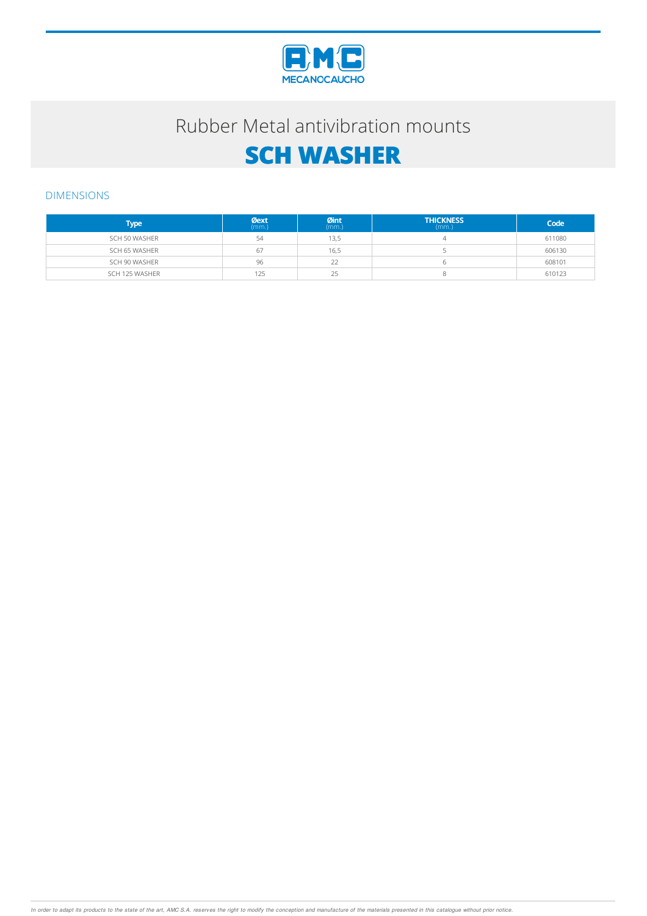

### Rubber Metal antivibration mounts

# **SCH WASHER**

### DIMENSIONS

| Type '         | $Q$ ext | Øint<br>(mm.) | <b>THICKNESS</b><br>(mm) | Code   |
|----------------|---------|---------------|--------------------------|--------|
| SCH 50 WASHER  | 54      | 13.5          |                          | 611080 |
| SCH 65 WASHER  | 67      | 16,5          |                          | 606130 |
| SCH 90 WASHER  | 96      | 22            |                          | 608101 |
| SCH 125 WASHER | 125     | つに<br>رے      |                          | 610123 |

In order to adapt its products to the state of the art, AMC S.A. reserves the right to modify the conception and manufacture of the materials presented in this catalogue without prior notice.